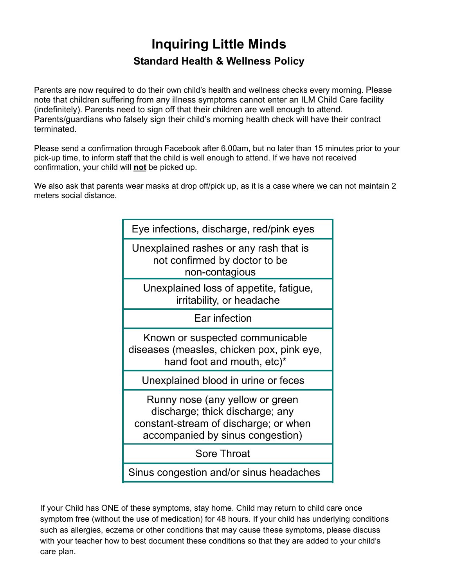# **Inquiring Little Minds Standard Health & Wellness Policy**

Parents are now required to do their own child's health and wellness checks every morning. Please note that children suffering from any illness symptoms cannot enter an ILM Child Care facility (indefinitely). Parents need to sign off that their children are well enough to attend. Parents/guardians who falsely sign their child's morning health check will have their contract terminated.

Please send a confirmation through Facebook after 6.00am, but no later than 15 minutes prior to your pick-up time, to inform staff that the child is well enough to attend. If we have not received confirmation, your child will **not** be picked up.

We also ask that parents wear masks at drop off/pick up, as it is a case where we can not maintain 2 meters social distance.

| Eye infections, discharge, red/pink eyes                                                                                                                                                                                                                                                                                   |  |                                         |
|----------------------------------------------------------------------------------------------------------------------------------------------------------------------------------------------------------------------------------------------------------------------------------------------------------------------------|--|-----------------------------------------|
| Unexplained rashes or any rash that is<br>not confirmed by doctor to be<br>non-contagious                                                                                                                                                                                                                                  |  |                                         |
| Unexplained loss of appetite, fatigue,<br>irritability, or headache                                                                                                                                                                                                                                                        |  |                                         |
| Ear infection                                                                                                                                                                                                                                                                                                              |  |                                         |
| Known or suspected communicable<br>diseases (measles, chicken pox, pink eye,<br>hand foot and mouth, etc)*<br>Unexplained blood in urine or feces<br>Runny nose (any yellow or green<br>discharge; thick discharge; any<br>constant-stream of discharge; or when<br>accompanied by sinus congestion)<br><b>Sore Throat</b> |  |                                         |
|                                                                                                                                                                                                                                                                                                                            |  | Sinus congestion and/or sinus headaches |
|                                                                                                                                                                                                                                                                                                                            |  |                                         |

If your Child has ONE of these symptoms, stay home. Child may return to child care once symptom free (without the use of medication) for 48 hours. If your child has underlying conditions such as allergies, eczema or other conditions that may cause these symptoms, please discuss with your teacher how to best document these conditions so that they are added to your child's care plan.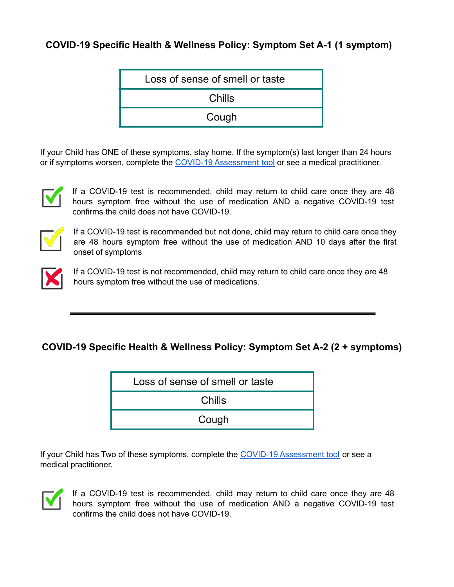## **COVID-19 Specific Health & Wellness Policy: Symptom Set A-1 (1 symptom)**

|                 | Loss of sense of smell or taste |
|-----------------|---------------------------------|
| Chills<br>Cough |                                 |

If your Child has ONE of these symptoms, stay home. If the symptom(s) last longer than 24 hours or if symptoms worsen, complete the COVID-19 [Assessment](https://bc.thrive.health/) tool or see a medical practitioner.



If a COVID-19 test is recommended, child may return to child care once they are 48 hours symptom free without the use of medication AND a negative COVID-19 test confirms the child does not have COVID-19.



If a COVID-19 test is recommended but not done, child may return to child care once they are 48 hours symptom free without the use of medication AND 10 days after the first onset of symptoms



If a COVID-19 test is not recommended, child may return to child care once they are 48 hours symptom free without the use of medications.

#### **COVID-19 Specific Health & Wellness Policy: Symptom Set A-2 (2 + symptoms)**

| Loss of sense of smell or taste |  |
|---------------------------------|--|
| Chills                          |  |
| Cough                           |  |

If your Child has Two of these symptoms, complete the COVID-19 [Assessment](https://bc.thrive.health/) tool or see a medical practitioner.



If a COVID-19 test is recommended, child may return to child care once they are 48 hours symptom free without the use of medication AND a negative COVID-19 test confirms the child does not have COVID-19.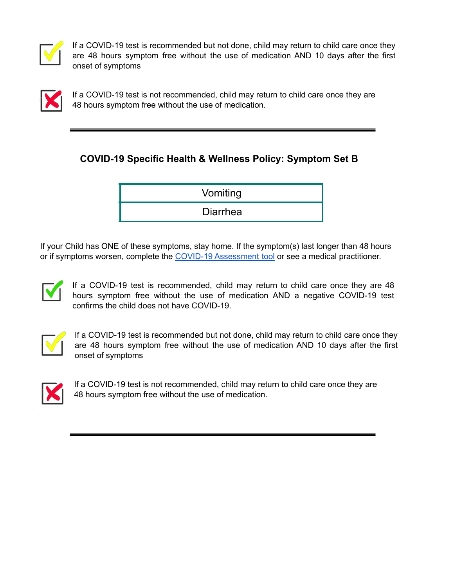

If a COVID-19 test is recommended but not done, child may return to child care once they are 48 hours symptom free without the use of medication AND 10 days after the first onset of symptoms



If a COVID-19 test is not recommended, child may return to child care once they are 48 hours symptom free without the use of medication.

## **COVID-19 Specific Health & Wellness Policy: Symptom Set B**



If your Child has ONE of these symptoms, stay home. If the symptom(s) last longer than 48 hours or if symptoms worsen, complete the COVID-19 [Assessment](https://bc.thrive.health/) tool or see a medical practitioner.



If a COVID-19 test is recommended, child may return to child care once they are 48 hours symptom free without the use of medication AND a negative COVID-19 test confirms the child does not have COVID-19.



If a COVID-19 test is recommended but not done, child may return to child care once they are 48 hours symptom free without the use of medication AND 10 days after the first onset of symptoms



If a COVID-19 test is not recommended, child may return to child care once they are 48 hours symptom free without the use of medication.